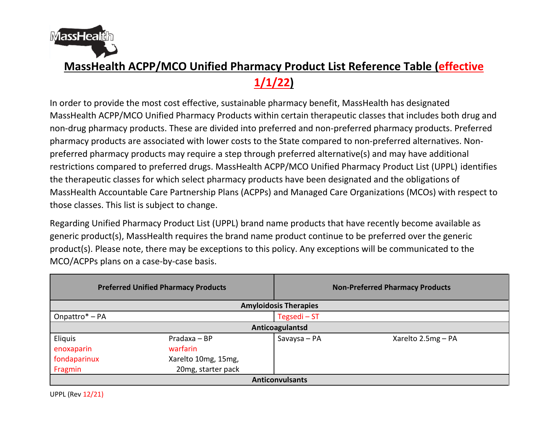

## **MassHealth ACPP/MCO Unified Pharmacy Product List Reference Table (effective**

**1/1/22)**

In order to provide the most cost effective, sustainable pharmacy benefit, MassHealth has designated MassHealth ACPP/MCO Unified Pharmacy Products within certain therapeutic classes that includes both drug and non-drug pharmacy products. These are divided into preferred and non-preferred pharmacy products. Preferred pharmacy products are associated with lower costs to the State compared to non-preferred alternatives. Nonpreferred pharmacy products may require a step through preferred alternative(s) and may have additional restrictions compared to preferred drugs. MassHealth ACPP/MCO Unified Pharmacy Product List (UPPL) identifies the therapeutic classes for which select pharmacy products have been designated and the obligations of MassHealth Accountable Care Partnership Plans (ACPPs) and Managed Care Organizations (MCOs) with respect to those classes. This list is subject to change.

Regarding Unified Pharmacy Product List (UPPL) brand name products that have recently become available as generic product(s), MassHealth requires the brand name product continue to be preferred over the generic product(s). Please note, there may be exceptions to this policy. Any exceptions will be communicated to the MCO/ACPPs plans on a case-by-case basis.

| <b>Preferred Unified Pharmacy Products</b> |                     | <b>Non-Preferred Pharmacy Products</b> |                    |  |
|--------------------------------------------|---------------------|----------------------------------------|--------------------|--|
| <b>Amyloidosis Therapies</b>               |                     |                                        |                    |  |
| Onpattro* - PA                             |                     | Tegsedi-ST                             |                    |  |
| Anticoagulantsd                            |                     |                                        |                    |  |
| Eliquis                                    | Pradaxa - BP        | Savaysa - PA                           | Xarelto 2.5mg - PA |  |
| enoxaparin                                 | warfarin            |                                        |                    |  |
| fondaparinux                               | Xarelto 10mg, 15mg, |                                        |                    |  |
| Fragmin                                    | 20mg, starter pack  |                                        |                    |  |
| <b>Anticonvulsants</b>                     |                     |                                        |                    |  |

UPPL (Rev 12/21)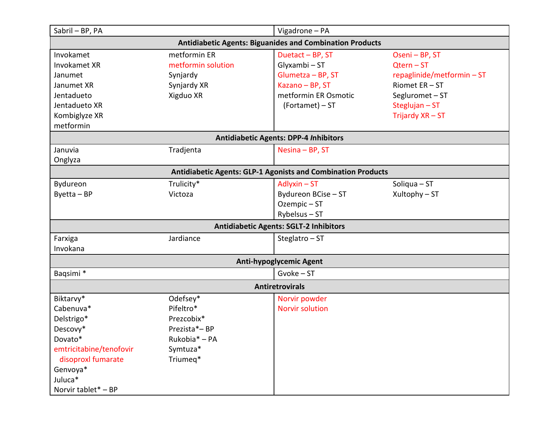| Sabril - BP, PA                                                                                                                               |                                                                                              | Vigadrone - PA                                                                                                       |                                                                                                                                   |  |
|-----------------------------------------------------------------------------------------------------------------------------------------------|----------------------------------------------------------------------------------------------|----------------------------------------------------------------------------------------------------------------------|-----------------------------------------------------------------------------------------------------------------------------------|--|
| <b>Antidiabetic Agents: Biguanides and Combination Products</b>                                                                               |                                                                                              |                                                                                                                      |                                                                                                                                   |  |
| Invokamet<br>Invokamet XR<br>Janumet<br>Janumet XR<br>Jentadueto<br>Jentadueto XR<br>Kombiglyze XR<br>metformin                               | metformin ER<br>metformin solution<br>Synjardy<br>Synjardy XR<br>Xigduo XR                   | Duetact - BP, ST<br>Glyxambi - ST<br>Glumetza - BP, ST<br>Kazano - BP, ST<br>metformin ER Osmotic<br>(Fortamet) - ST | Oseni - BP, ST<br>$Qtern - ST$<br>repaglinide/metformin-ST<br>Riomet ER-ST<br>Segluromet-ST<br>Steglujan - ST<br>Trijardy XR - ST |  |
|                                                                                                                                               |                                                                                              | <b>Antidiabetic Agents: DPP-4 Inhibitors</b>                                                                         |                                                                                                                                   |  |
| Januvia<br>Onglyza                                                                                                                            | Tradjenta                                                                                    | Nesina - BP, ST                                                                                                      |                                                                                                                                   |  |
|                                                                                                                                               |                                                                                              | <b>Antidiabetic Agents: GLP-1 Agonists and Combination Products</b>                                                  |                                                                                                                                   |  |
| Bydureon<br>$B$ yetta – BP                                                                                                                    | Trulicity*<br>Victoza                                                                        | $\Delta$ dlyxin – ST<br>Bydureon BCise - ST<br>Ozempic-ST<br>$Ry$ belsus – ST                                        | Soliqua $-ST$<br>Xultophy - ST                                                                                                    |  |
|                                                                                                                                               |                                                                                              | <b>Antidiabetic Agents: SGLT-2 Inhibitors</b>                                                                        |                                                                                                                                   |  |
| Farxiga<br>Invokana                                                                                                                           | Jardiance                                                                                    | Steglatro - ST                                                                                                       |                                                                                                                                   |  |
|                                                                                                                                               |                                                                                              | <b>Anti-hypoglycemic Agent</b>                                                                                       |                                                                                                                                   |  |
| Baqsimi *                                                                                                                                     |                                                                                              | $Gvoke - ST$                                                                                                         |                                                                                                                                   |  |
| Biktarvy*                                                                                                                                     | <b>Antiretrovirals</b>                                                                       |                                                                                                                      |                                                                                                                                   |  |
| Cabenuva*<br>Delstrigo*<br>Descovy*<br>Dovato*<br>emtricitabine/tenofovir<br>disoproxl fumarate<br>Genvoya*<br>Juluca*<br>Norvir tablet* - BP | Odefsey*<br>Pifeltro*<br>Prezcobix*<br>Prezista*-BP<br>Rukobia* - PA<br>Symtuza*<br>Triumeq* | Norvir powder<br><b>Norvir solution</b>                                                                              |                                                                                                                                   |  |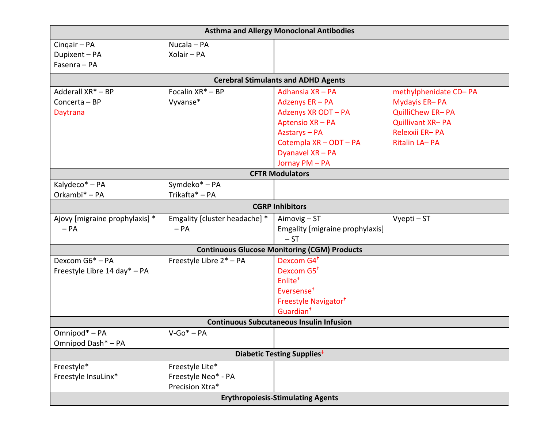| <b>Asthma and Allergy Monoclonal Antibodies</b> |                               |                                                     |                         |  |
|-------------------------------------------------|-------------------------------|-----------------------------------------------------|-------------------------|--|
| Cingair - PA                                    | Nucala - PA                   |                                                     |                         |  |
| Dupixent - PA                                   | Xolair - PA                   |                                                     |                         |  |
| Fasenra - PA                                    |                               |                                                     |                         |  |
|                                                 |                               | <b>Cerebral Stimulants and ADHD Agents</b>          |                         |  |
| Adderall XR* - BP                               | Focalin XR* - BP              | Adhansia XR - PA                                    | methylphenidate CD-PA   |  |
| Concerta - BP                                   | Vyvanse*                      | Adzenys ER - PA                                     | Mydayis ER-PA           |  |
| Daytrana                                        |                               | Adzenys XR ODT - PA                                 | QuilliChew ER-PA        |  |
|                                                 |                               | Aptensio XR - PA                                    | <b>Quillivant XR-PA</b> |  |
|                                                 |                               | Azstarys - PA                                       | Relexxii ER-PA          |  |
|                                                 |                               | Cotempla XR - ODT - PA                              | Ritalin LA-PA           |  |
|                                                 |                               | Dyanavel XR - PA                                    |                         |  |
|                                                 |                               | Jornay PM - PA                                      |                         |  |
|                                                 |                               | <b>CFTR Modulators</b>                              |                         |  |
| Kalydeco* - PA                                  | Symdeko* - PA                 |                                                     |                         |  |
| Orkambi* - PA                                   | Trikafta* - PA                |                                                     |                         |  |
|                                                 |                               | <b>CGRP Inhibitors</b>                              |                         |  |
| Ajovy [migraine prophylaxis] *                  | Emgality [cluster headache] * | Aimovig - ST                                        | Vyepti - ST             |  |
| $- PA$                                          | $- PA$                        | Emgality [migraine prophylaxis]                     |                         |  |
|                                                 |                               | $-ST$                                               |                         |  |
|                                                 |                               | <b>Continuous Glucose Monitoring (CGM) Products</b> |                         |  |
| Dexcom G6* - PA                                 | Freestyle Libre 2* - PA       | Dexcom G4 <sup>+</sup>                              |                         |  |
| Freestyle Libre 14 day* - PA                    |                               | Dexcom G5 <sup>+</sup>                              |                         |  |
|                                                 |                               | Enlite <sup>+</sup>                                 |                         |  |
|                                                 |                               | Eversense <sup>+</sup>                              |                         |  |
|                                                 |                               | Freestyle Navigator <sup>†</sup>                    |                         |  |
|                                                 |                               | Guardian <sup>+</sup>                               |                         |  |
| <b>Continuous Subcutaneous Insulin Infusion</b> |                               |                                                     |                         |  |
| Omnipod* - PA                                   | $V-Go^* - PA$                 |                                                     |                         |  |
| Omnipod Dash* - PA                              |                               |                                                     |                         |  |
| Diabetic Testing Supplies <sup>‡</sup>          |                               |                                                     |                         |  |
| Freestyle*                                      | Freestyle Lite*               |                                                     |                         |  |
| Freestyle InsuLinx*                             | Freestyle Neo* - PA           |                                                     |                         |  |
|                                                 | Precision Xtra*               |                                                     |                         |  |
| <b>Erythropoiesis-Stimulating Agents</b>        |                               |                                                     |                         |  |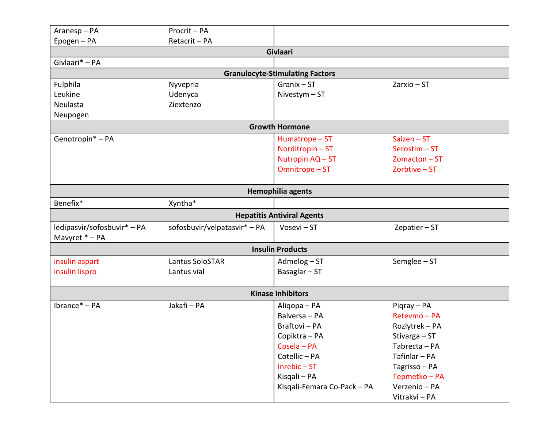| Aranesp-PA                  | Procrit - PA                 |                                        |                 |
|-----------------------------|------------------------------|----------------------------------------|-----------------|
| Epogen - PA                 | Retacrit - PA                |                                        |                 |
|                             |                              | Givlaari                               |                 |
| Givlaari* - PA              |                              |                                        |                 |
|                             |                              | <b>Granulocyte-Stimulating Factors</b> |                 |
| Fulphila                    | Nyvepria                     | $Granix - ST$                          | $Zarxio - ST$   |
| Leukine                     | Udenyca                      | Nivestym $- ST$                        |                 |
| Neulasta                    | Ziextenzo                    |                                        |                 |
| Neupogen                    |                              |                                        |                 |
|                             |                              | <b>Growth Hormone</b>                  |                 |
| Genotropin* - PA            |                              | Humatrope - ST                         | $Saizen - ST$   |
|                             |                              | Norditropin-ST                         | Serostim-ST     |
|                             |                              | Nutropin AQ - ST                       | $Zomacton - ST$ |
|                             |                              | Omnitrope - ST                         | Zorbtive - ST   |
|                             |                              |                                        |                 |
|                             |                              | <b>Hemophilia agents</b>               |                 |
| Benefix*                    | Xyntha*                      |                                        |                 |
|                             |                              | <b>Hepatitis Antiviral Agents</b>      |                 |
| ledipasvir/sofosbuvir* - PA | sofosbuvir/velpatasvir* - PA | Vosevi - ST                            | Zepatier $-ST$  |
| Mavyret * - PA              |                              |                                        |                 |
|                             |                              | <b>Insulin Products</b>                |                 |
| insulin aspart              | Lantus SoloSTAR              | Admelog-ST                             | Semglee - ST    |
| insulin lispro              | Lantus vial                  | Basaglar $- ST$                        |                 |
|                             |                              |                                        |                 |
|                             |                              | <b>Kinase Inhibitors</b>               |                 |
| Ibrance* - PA               | Jakafi - PA                  | Aligopa - PA                           | Pigray - PA     |
|                             |                              | Balversa - PA                          | Retevmo - PA    |
|                             |                              | Braftovi - PA                          | Rozlytrek - PA  |
|                             |                              | Copiktra - PA                          | Stivarga - ST   |
|                             |                              | Cosela - PA                            | Tabrecta - PA   |
|                             |                              | Cotellic - PA                          | Tafinlar - PA   |
|                             |                              | $Inrebic - ST$                         | Tagrisso - PA   |
|                             |                              | Kisqali - PA                           | Tepmetko – PA   |
|                             |                              | Kisqali-Femara Co-Pack - PA            | Verzenio - PA   |
|                             |                              |                                        | Vitrakvi - PA   |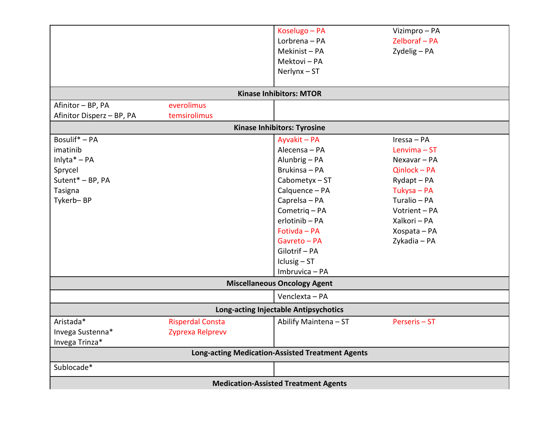|                                                         |                         | Koselugo - PA                         | Vizimpro - PA |
|---------------------------------------------------------|-------------------------|---------------------------------------|---------------|
|                                                         |                         | Lorbrena - PA                         | Zelboraf - PA |
|                                                         |                         | Mekinist-PA                           | Zydelig - PA  |
|                                                         |                         | Mektovi - PA                          |               |
|                                                         |                         | $Nerlynx - ST$                        |               |
|                                                         |                         |                                       |               |
|                                                         |                         | <b>Kinase Inhibitors: MTOR</b>        |               |
| Afinitor - BP, PA                                       | everolimus              |                                       |               |
| Afinitor Disperz - BP, PA                               | temsirolimus            |                                       |               |
|                                                         |                         | <b>Kinase Inhibitors: Tyrosine</b>    |               |
| Bosulif* - PA                                           |                         | Ayvakit - PA                          | Iressa - PA   |
| imatinib                                                |                         | Alecensa - PA                         | Lenvima-ST    |
| Inlyta $* - PA$                                         |                         | Alunbrig - PA                         | Nexavar - PA  |
| Sprycel                                                 |                         | Brukinsa - PA                         | Qinlock - PA  |
| Sutent* - BP, PA                                        |                         | Cabometyx-ST                          | Rydapt - PA   |
| Tasigna                                                 |                         | Calquence - PA                        | Tukysa - PA   |
| Tykerb-BP                                               |                         | Caprelsa - PA                         | Turalio - PA  |
|                                                         |                         | Cometrig-PA                           | Votrient - PA |
|                                                         |                         | erlotinib - PA                        | Xalkori - PA  |
|                                                         |                         | Fotivda - PA                          | Xospata - PA  |
|                                                         |                         | Gavreto - PA                          | Zykadia - PA  |
|                                                         |                         | Gilotrif - PA                         |               |
|                                                         |                         | $Iclusig - ST$                        |               |
|                                                         |                         | Imbruvica - PA                        |               |
|                                                         |                         | <b>Miscellaneous Oncology Agent</b>   |               |
|                                                         |                         | Venclexta - PA                        |               |
|                                                         |                         | Long-acting Injectable Antipsychotics |               |
| Aristada*                                               | <b>Risperdal Consta</b> | Abilify Maintena - ST                 | Perseris-ST   |
| Invega Sustenna*                                        | Zyprexa Relprevv        |                                       |               |
| Invega Trinza*                                          |                         |                                       |               |
| <b>Long-acting Medication-Assisted Treatment Agents</b> |                         |                                       |               |
| Sublocade*                                              |                         |                                       |               |
| <b>Medication-Assisted Treatment Agents</b>             |                         |                                       |               |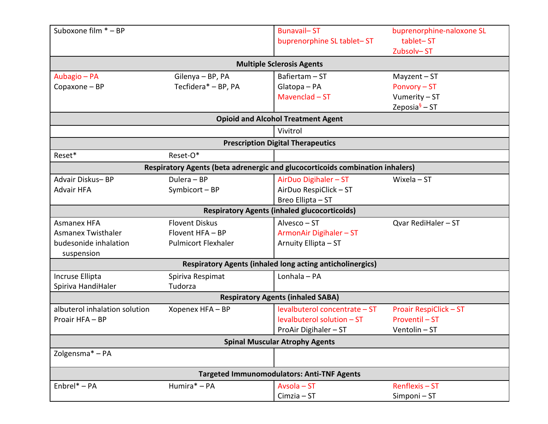| Suboxone film * - BP                              |                            | <b>Bunavail-ST</b><br>buprenorphine SL tablet-ST                              | buprenorphine-naloxone SL<br>tablet-ST<br>Zubsolv-ST |  |
|---------------------------------------------------|----------------------------|-------------------------------------------------------------------------------|------------------------------------------------------|--|
|                                                   |                            | <b>Multiple Sclerosis Agents</b>                                              |                                                      |  |
| Aubagio - PA                                      | Gilenya - BP, PA           | Bafiertam - ST                                                                | $Mayzent - ST$                                       |  |
| Copaxone - BP                                     | Tecfidera* - BP, PA        | Glatopa - PA                                                                  | Ponvory - ST                                         |  |
|                                                   |                            | Mavenclad $-ST$                                                               | Vumerity - ST                                        |  |
|                                                   |                            |                                                                               | Zeposia $\frac{6}{5}$ – ST                           |  |
|                                                   |                            | <b>Opioid and Alcohol Treatment Agent</b>                                     |                                                      |  |
|                                                   |                            | Vivitrol                                                                      |                                                      |  |
|                                                   |                            | <b>Prescription Digital Therapeutics</b>                                      |                                                      |  |
| Reset*                                            | Reset-O*                   |                                                                               |                                                      |  |
|                                                   |                            | Respiratory Agents (beta adrenergic and glucocorticoids combination inhalers) |                                                      |  |
| Advair Diskus-BP                                  | Dulera - BP                | AirDuo Digihaler - ST                                                         | Wixela $-ST$                                         |  |
| <b>Advair HFA</b>                                 | Symbicort - BP             | AirDuo RespiClick - ST                                                        |                                                      |  |
|                                                   |                            | Breo Ellipta - ST                                                             |                                                      |  |
|                                                   |                            | <b>Respiratory Agents (inhaled glucocorticoids)</b>                           |                                                      |  |
| <b>Asmanex HFA</b>                                | <b>Flovent Diskus</b>      | Alvesco - ST                                                                  | Qvar RediHaler - ST                                  |  |
| <b>Asmanex Twisthaler</b>                         | Flovent HFA - BP           | ArmonAir Digihaler - ST                                                       |                                                      |  |
| budesonide inhalation                             | <b>Pulmicort Flexhaler</b> | Arnuity Ellipta - ST                                                          |                                                      |  |
| suspension                                        |                            |                                                                               |                                                      |  |
|                                                   |                            | <b>Respiratory Agents (inhaled long acting anticholinergics)</b>              |                                                      |  |
| Incruse Ellipta                                   | Spiriva Respimat           | Lonhala - PA                                                                  |                                                      |  |
| Spiriva HandiHaler                                | Tudorza                    |                                                                               |                                                      |  |
| <b>Respiratory Agents (inhaled SABA)</b>          |                            |                                                                               |                                                      |  |
| albuterol inhalation solution                     | Xopenex HFA - BP           | levalbuterol concentrate - ST                                                 | <b>Proair RespiClick - ST</b>                        |  |
| Proair HFA - BP                                   |                            | levalbuterol solution - ST                                                    | Proventil - ST                                       |  |
|                                                   |                            | ProAir Digihaler - ST                                                         | Ventolin-ST                                          |  |
| <b>Spinal Muscular Atrophy Agents</b>             |                            |                                                                               |                                                      |  |
| Zolgensma* - PA                                   |                            |                                                                               |                                                      |  |
| <b>Targeted Immunomodulators: Anti-TNF Agents</b> |                            |                                                                               |                                                      |  |
| Enbrel* - PA                                      | Humira* - PA               | Avsola - ST                                                                   | Renflexis-ST                                         |  |
|                                                   |                            | $Cimzia - ST$                                                                 | Simponi-ST                                           |  |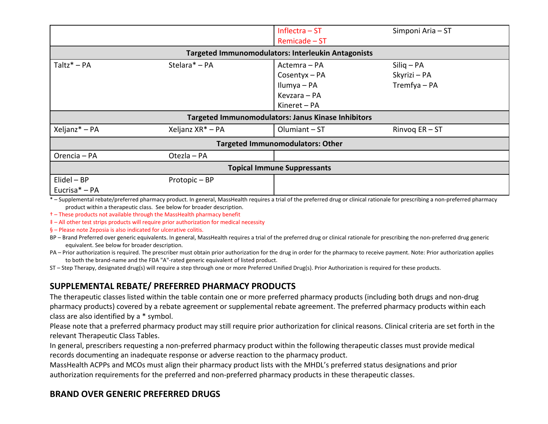|                                         |                                                           | Inflectra $-ST$<br>Remicade - ST                           | Simponi Aria - ST                            |  |  |
|-----------------------------------------|-----------------------------------------------------------|------------------------------------------------------------|----------------------------------------------|--|--|
|                                         | <b>Targeted Immunomodulators: Interleukin Antagonists</b> |                                                            |                                              |  |  |
| $Taltz^* - PA$                          | Stelara* - PA                                             | Actemra - PA<br>Cosentyx-PA<br>Ilumya – PA<br>Kevzara - PA | $Siliq - PA$<br>Skyrizi - PA<br>Tremfya - PA |  |  |
|                                         |                                                           | Kineret – PA                                               |                                              |  |  |
|                                         |                                                           | <b>Targeted Immunomodulators: Janus Kinase Inhibitors</b>  |                                              |  |  |
| Xeljanz* - PA                           | Xeljanz XR <sup>*</sup> - PA                              | Olumiant-ST                                                | Rinvoq $ER - ST$                             |  |  |
| <b>Targeted Immunomodulators: Other</b> |                                                           |                                                            |                                              |  |  |
| Orencia - PA                            | Otezla - PA                                               |                                                            |                                              |  |  |
| <b>Topical Immune Suppressants</b>      |                                                           |                                                            |                                              |  |  |
| $E$ lidel – BP<br>Eucrisa* - PA         | Protopic - BP                                             |                                                            |                                              |  |  |

\* – Supplemental rebate/preferred pharmacy product. In general, MassHealth requires a trial of the preferred drug or clinical rationale for prescribing a non-preferred pharmacy product within a therapeutic class. See below for broader description.

+ - These products not available through the MassHealth pharmacy benefit

# - All other test strips products will require prior authorization for medical necessity

§ - Please note Zeposia is also indicated for ulcerative colitis.

- BP-Brand Preferred over generic equivalents. In general, MassHealth requires a trial of the preferred drug or clinical rationale for prescribing the non-preferred drug generic equivalent. See below for broader description.
- PA Prior authorization is required. The prescriber must obtain prior authorization for the drug in order for the pharmacy to receive payment. Note: Prior authorization applies to both the brand-name and the FDA "A"-rated generic equivalent of listed product.

ST - Step Therapy, designated drug(s) will require a step through one or more Preferred Unified Drug(s). Prior Authorization is required for these products.

## SUPPLEMENTAL REBATE/ PREFERRED PHARMACY PRODUCTS

The therapeutic classes listed within the table contain one or more preferred pharmacy products (including both drugs and non-drug pharmacy products) covered by a rebate agreement or supplemental rebate agreement. The preferred pharmacy products within each class are also identified by a \* symbol.

Please note that a preferred pharmacy product may still require prior authorization for clinical reasons. Clinical criteria are set forth in the relevant Therapeutic Class Tables.

In general, prescribers requesting a non-preferred pharmacy product within the following therapeutic classes must provide medical records documenting an inadequate response or adverse reaction to the pharmacy product.

MassHealth ACPPs and MCOs must align their pharmacy product lists with the MHDL's preferred status designations and prior authorization requirements for the preferred and non-preferred pharmacy products in these therapeutic classes.

## **BRAND OVER GENERIC PREFERRED DRUGS**